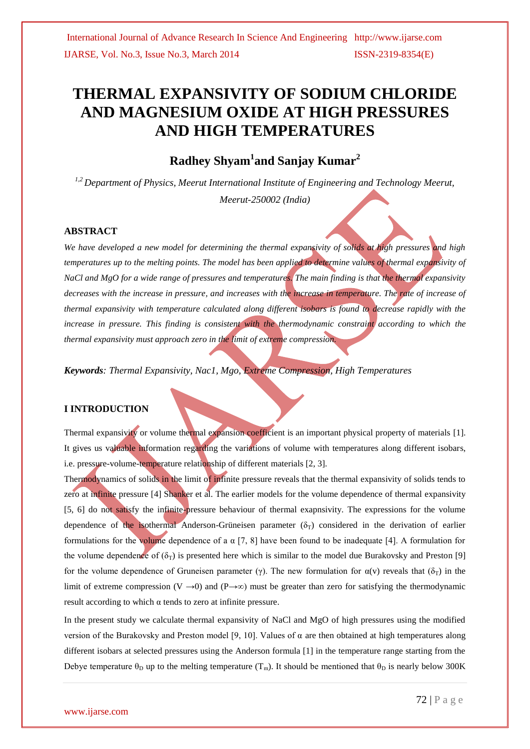# **THERMAL EXPANSIVITY OF SODIUM CHLORIDE AND MAGNESIUM OXIDE AT HIGH PRESSURES AND HIGH TEMPERATURES**

## **Radhey Shyam<sup>1</sup> and Sanjay Kumar<sup>2</sup>**

*1,2 Department of Physics, Meerut International Institute of Engineering and Technology Meerut, Meerut-250002 (India)*

#### **ABSTRACT**

*We have developed a new model for determining the thermal expansivity of solids at high pressures and high temperatures up to the melting points. The model has been applied to determine values of thermal expansivity of NaCl and MgO for a wide range of pressures and temperatures. The main finding is that the thermal expansivity*  decreases with the increase in pressure, and increases with the increase in temperature. The rate of increase of *thermal expansivity with temperature calculated along different isobars is found to decrease rapidly with the increase in pressure. This finding is consistent with the thermodynamic constraint according to which the thermal expansivity must approach zero in the limit of extreme compression.*

*Keywords: Thermal Expansivity, Nac1, Mgo, Extreme Compression, High Temperatures*

#### **I INTRODUCTION**

Thermal expansivity or volume thermal expansion coefficient is an important physical property of materials [1]. It gives us valuable information regarding the variations of volume with temperatures along different isobars, i.e. pressure-volume-temperature relationship of different materials [2, 3].

Thermodynamics of solids in the limit of infinite pressure reveals that the thermal expansivity of solids tends to zero at infinite pressure [4] Shanker et al. The earlier models for the volume dependence of thermal expansivity [5, 6] do not satisfy the infinite-pressure behaviour of thermal exapnsivity. The expressions for the volume dependence of the isothermal Anderson-Grüneisen parameter  $(\delta_T)$  considered in the derivation of earlier formulations for the volume dependence of a  $\alpha$  [7, 8] have been found to be inadequate [4]. A formulation for the volume dependence of  $(\delta_T)$  is presented here which is similar to the model due Burakovsky and Preston [9] for the volume dependence of Gruneisen parameter (γ). The new formulation for  $\alpha$ (ν) reveals that (δ<sub>T</sub>) in the limit of extreme compression (V  $\rightarrow$ 0) and (P $\rightarrow \infty$ ) must be greater than zero for satisfying the thermodynamic result according to which α tends to zero at infinite pressure.

In the present study we calculate thermal expansivity of NaCl and MgO of high pressures using the modified version of the Burakovsky and Preston model [9, 10]. Values of  $\alpha$  are then obtained at high temperatures along different isobars at selected pressures using the Anderson formula [1] in the temperature range starting from the Debye temperature  $\theta_D$  up to the melting temperature (T<sub>m</sub>). It should be mentioned that  $\theta_D$  is nearly below 300K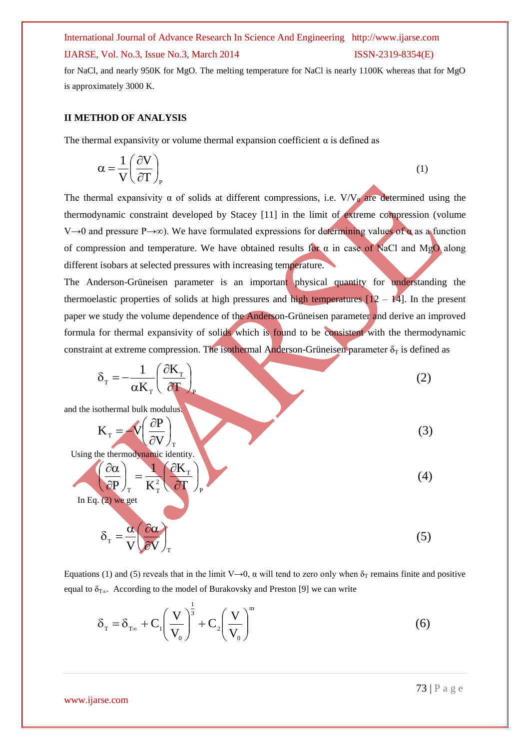# International Journal of Advance Research In Science And Engineering http://www.ijarse.com

### IJARSE, Vol. No.3, Issue No.3, March 2014 ISSN-2319-8354(E)

for NaCl, and nearly 950K for MgO. The melting temperature for NaCl is nearly 1100K whereas that for MgO is approximately 3000 K.

#### **II METHOD OF ANALYSIS**

The thermal expansivity or volume thermal expansion coefficient  $\alpha$  is defined as

$$
\alpha = \frac{1}{V} \left( \frac{\partial V}{\partial T} \right)_P \tag{1}
$$

The thermal expansivity  $\alpha$  of solids at different compressions, i.e. V/V<sub>0</sub> are determined using the thermodynamic constraint developed by Stacey [11] in the limit of extreme compression (volume V→0 and pressure P→∞). We have formulated expressions for determining values of  $\alpha$  as a function of compression and temperature. We have obtained results for  $\alpha$  in case of NaCl and MgO along different isobars at selected pressures with increasing temperature.

The Anderson-Grüneisen parameter is an important physical quantity for understanding the thermoelastic properties of solids at high pressures and high temperatures  $[12 - 14]$ . In the present paper we study the volume dependence of the Anderson-Grüneisen parameter and derive an improved formula for thermal expansivity of solids which is found to be consistent with the thermodynamic constraint at extreme compression. The isothermal Anderson-Grüneisen parameter  $\delta_T$  is defined as

$$
\delta_{\rm T} = -\frac{1}{\alpha K_{\rm T}} \left( \frac{\partial K_{\rm T}}{\partial T} \right)_{\rm P}
$$
\nand the isothermal bulk modulus.  
\n
$$
K_{\rm T} = V \left( \frac{\partial P}{\partial V} \right)_{\rm T}
$$
\nUsing the thermodynamic identity.  
\nIn Eq. (2) we get  
\n
$$
\delta_{\rm T} = \frac{\alpha}{V} \left( \frac{\partial \alpha}{\partial V} \right)_{\rm T}
$$
\n(4)  
\n(5)

Equations (1) and (5) reveals that in the limit V→0,  $\alpha$  will tend to zero only when  $\delta_T$  remains finite and positive equal to  $\delta_{T\infty}$ . According to the model of Burakovsky and Preston [9] we can write

$$
\delta_{\mathrm{T}} = \delta_{\mathrm{T}\infty} + \mathbf{C}_1 \left( \frac{\mathbf{V}}{\mathbf{V}_0} \right)^{\frac{1}{3}} + \mathbf{C}_2 \left( \frac{\mathbf{V}}{\mathbf{V}_0} \right)^{\mathrm{m}} \tag{6}
$$

www.ijarse.com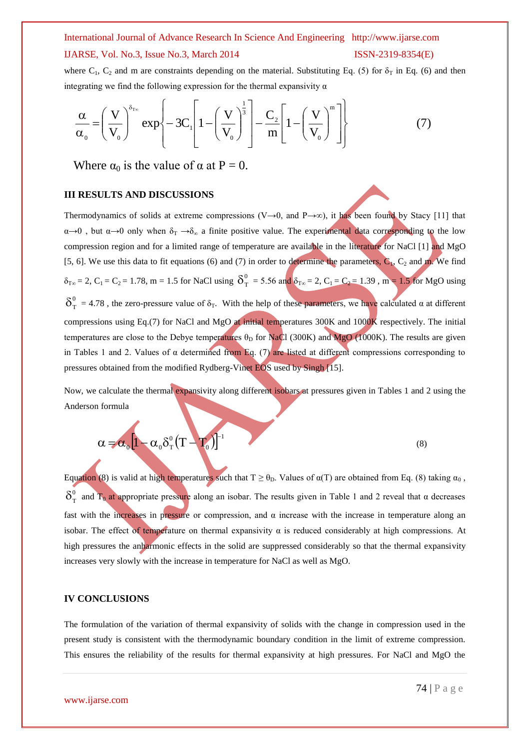## International Journal of Advance Research In Science And Engineering http://www.ijarse.com IJARSE, Vol. No.3, Issue No.3, March 2014 ISSN-2319-8354(E)

where  $C_1$ ,  $C_2$  and m are constraints depending on the material. Substituting Eq. (5) for  $\delta_T$  in Eq. (6) and then integrating we find the following expression for the thermal expansivity  $\alpha$ 

$$
\frac{\alpha}{\alpha_0} = \left(\frac{V}{V_0}\right)^{\delta_{T_{\infty}}} \exp\left\{-3C_1 \left[1 - \left(\frac{V}{V_0}\right)^{\frac{1}{3}}\right] - \frac{C_2}{m} \left[1 - \left(\frac{V}{V_0}\right)^m\right]\right\}
$$
(7)

Where  $\alpha_0$  is the value of  $\alpha$  at P = 0.

#### **III RESULTS AND DISCUSSIONS**

Thermodynamics of solids at extreme compressions (V→0, and P→∞), it has been found by Stacy [11] that  $\alpha \rightarrow 0$ , but  $\alpha \rightarrow 0$  only when  $\delta_{\rm T} \rightarrow \delta_{\infty}$  a finite positive value. The experimental data corresponding to the low compression region and for a limited range of temperature are available in the literature for NaCl [1] and MgO [5, 6]. We use this data to fit equations (6) and (7) in order to determine the parameters,  $C_1$ ,  $C_2$  and m. We find  $\delta_{T\infty} = 2$ ,  $C_1 = C_2 = 1.78$ , m = 1.5 for NaCl using  $\delta_T^0 = 5.56$  and  $\delta_{T\infty} = 2$ ,  $C_1 = C_2 = 1.39$ , m = 1.5 for MgO using  $\delta_{\rm T}^0$  = 4.78, the zero-pressure value of  $\delta_{\rm T}$ . With the help of these parameters, we have calculated  $\alpha$  at different compressions using Eq.(7) for NaCl and MgO at initial temperatures 300K and 1000K respectively. The initial temperatures are close to the Debye temperatures  $\theta_D$  for NaCl (300K) and MgO (1000K). The results are given in Tables 1 and 2. Values of  $\alpha$  determined from Eq. (7) are listed at different compressions corresponding to pressures obtained from the modified Rydberg-Vinet EOS used by Singh [15].

Now, we calculate the thermal expansivity along different isobars at pressures given in Tables 1 and 2 using the Anderson formula

$$
\alpha = \alpha_0 \left[ 1 - \alpha_0 \delta_\text{T}^0 (T - T_0) \right]^{-1}
$$
 (8)

Equation (8) is valid at high temperatures such that  $T \ge \theta_D$ . Values of  $\alpha(T)$  are obtained from Eq. (8) taking  $\alpha_0$ ,  $\delta_{\rm T}^0$  and  $T_0$  at appropriate pressure along an isobar. The results given in Table 1 and 2 reveal that  $\alpha$  decreases fast with the increases in pressure or compression, and  $\alpha$  increase with the increase in temperature along an isobar. The effect of temperature on thermal expansivity  $\alpha$  is reduced considerably at high compressions. At high pressures the anharmonic effects in the solid are suppressed considerably so that the thermal expansivity increases very slowly with the increase in temperature for NaCl as well as MgO.

#### **IV CONCLUSIONS**

Í

The formulation of the variation of thermal expansivity of solids with the change in compression used in the present study is consistent with the thermodynamic boundary condition in the limit of extreme compression. This ensures the reliability of the results for thermal expansivity at high pressures. For NaCl and MgO the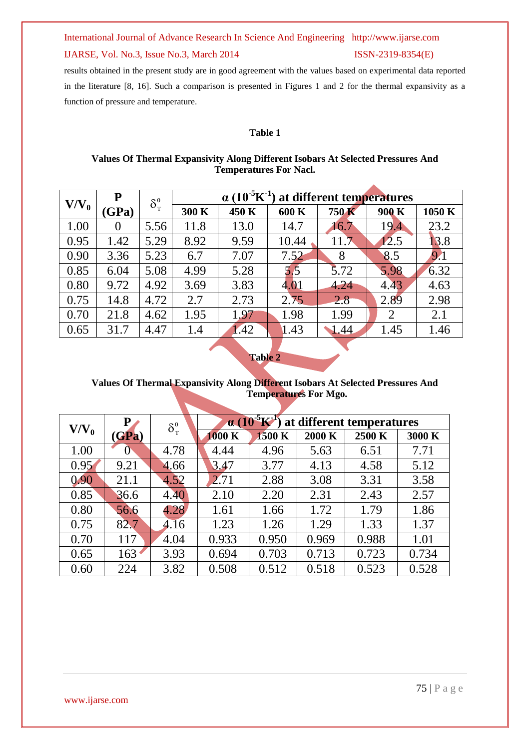## International Journal of Advance Research In Science And Engineering http://www.ijarse.com

#### IJARSE, Vol. No.3, Issue No.3, March 2014 ISSN-2319-8354(E)

results obtained in the present study are in good agreement with the values based on experimental data reported in the literature [8, 16]. Such a comparison is presented in Figures 1 and 2 for the thermal expansivity as a function of pressure and temperature.

#### **Table 1**

#### **Values Of Thermal Expansivity Along Different Isobars At Selected Pressures And Temperatures For Nacl.**

|         | ${\bf P}$      | $\delta_{\scriptscriptstyle T}^{\scriptscriptstyle 0}$ | $\alpha$ (10 <sup>-5</sup> K <sup>-1</sup> )<br>at different temperatures |       |       |       |                |        |  |
|---------|----------------|--------------------------------------------------------|---------------------------------------------------------------------------|-------|-------|-------|----------------|--------|--|
| $V/V_0$ |                |                                                        |                                                                           |       |       |       |                |        |  |
|         | (GPa)          |                                                        | 300 K                                                                     | 450 K | 600 K | 750 K | 900 K          | 1050 K |  |
| 1.00    | $\overline{0}$ | 5.56                                                   | 11.8                                                                      | 13.0  | 14.7  | 16.7  | 19.4           | 23.2   |  |
| 0.95    | 1.42           | 5.29                                                   | 8.92                                                                      | 9.59  | 10.44 | 11.7  | 12.5           | 13.8   |  |
| 0.90    | 3.36           | 5.23                                                   | 6.7                                                                       | 7.07  | 7.52  | 8     | 8.5            | 9.1    |  |
| 0.85    | 6.04           | 5.08                                                   | 4.99                                                                      | 5.28  | 5.5   | 5.72  | 5.98           | 6.32   |  |
| 0.80    | 9.72           | 4.92                                                   | 3.69                                                                      | 3.83  | 4.01  | 4.24  | 4.43           | 4.63   |  |
| 0.75    | 14.8           | 4.72                                                   | 2.7                                                                       | 2.73  | 2.75  | 2.8   | 2.89           | 2.98   |  |
| 0.70    | 21.8           | 4.62                                                   | 1.95                                                                      | 1.97  | 1.98  | 1.99  | $\overline{2}$ | 2.1    |  |
| 0.65    | 31.7           | 4.47                                                   | 1.4                                                                       | 1.42  | 1.43  | 1.44  | 1.45           | 1.46   |  |

**Table 2**

### **Values Of Thermal Expansivity Along Different Isobars At Selected Pressures And Temperatures For Mgo.**

| $V/V_0$ | P     | $\delta_{\scriptscriptstyle T}^{\scriptscriptstyle 0}$ | $\alpha$ (10 <sup>-5</sup> K <sup>-1</sup> )<br>at different temperatures |        |        |        |        |  |
|---------|-------|--------------------------------------------------------|---------------------------------------------------------------------------|--------|--------|--------|--------|--|
|         | (GPa) |                                                        | 1000 K                                                                    | 1500 K | 2000 K | 2500 K | 3000 K |  |
| 1.00    |       | 4.78                                                   | 4.44                                                                      | 4.96   | 5.63   | 6.51   | 7.71   |  |
| 0.95    | 9.21  | 4.66                                                   | 3.47                                                                      | 3.77   | 4.13   | 4.58   | 5.12   |  |
| 0.90    | 21.1  | 4.52                                                   | 2.71                                                                      | 2.88   | 3.08   | 3.31   | 3.58   |  |
| 0.85    | 36.6  | 4.40                                                   | 2.10                                                                      | 2.20   | 2.31   | 2.43   | 2.57   |  |
| 0.80    | 56.6  | 4.28                                                   | 1.61                                                                      | 1.66   | 1.72   | 1.79   | 1.86   |  |
| 0.75    | 82.7  | 4.16                                                   | 1.23                                                                      | 1.26   | 1.29   | 1.33   | 1.37   |  |
| 0.70    | 117   | 4.04                                                   | 0.933                                                                     | 0.950  | 0.969  | 0.988  | 1.01   |  |
| 0.65    | 163   | 3.93                                                   | 0.694                                                                     | 0.703  | 0.713  | 0.723  | 0.734  |  |
| 0.60    | 224   | 3.82                                                   | 0.508                                                                     | 0.512  | 0.518  | 0.523  | 0.528  |  |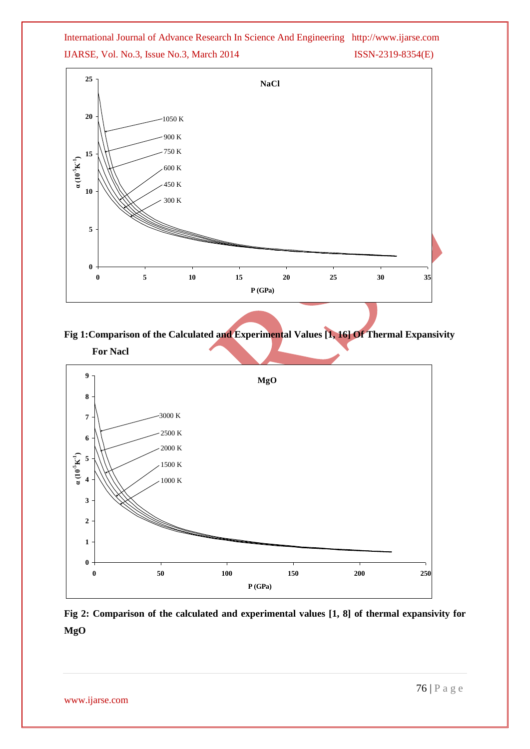## International Journal of Advance Research In Science And Engineering http://www.ijarse.com IJARSE, Vol. No.3, Issue No.3, March 2014 ISSN-2319-8354(E)



**Fig 1:Comparison of the Calculated and Experimental Values [1, 16] Of Thermal Expansivity For Nacl**



**Fig 2: Comparison of the calculated and experimental values [1, 8] of thermal expansivity for MgO**